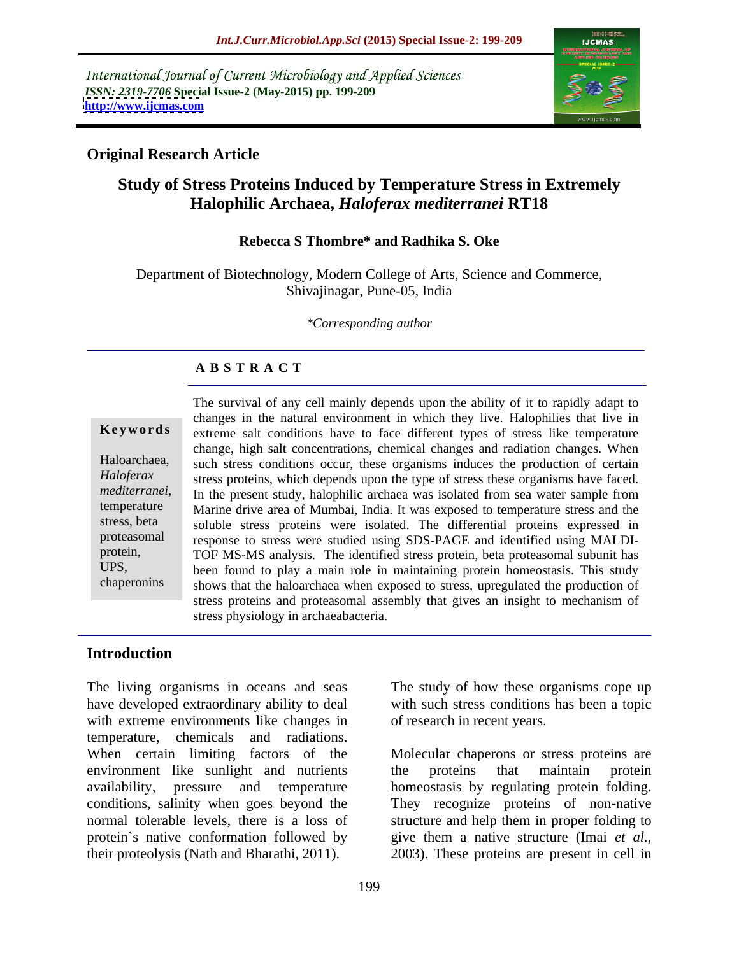International Journal of Current Microbiology and Applied Sciences *ISSN: 2319-7706* **Special Issue-2 (May-2015) pp. 199-209 <http://www.ijcmas.com>**



### **Original Research Article**

## **Study of Stress Proteins Induced by Temperature Stress in Extremely Halophilic Archaea,** *Haloferax mediterranei* **RT18**

#### **Rebecca S Thombre\* and Radhika S. Oke**

Department of Biotechnology, Modern College of Arts, Science and Commerce, Shivajinagar, Pune-05, India

*\*Corresponding author*

## **A B S T R A C T**

chaperonins

The survival of any cell mainly depends upon the ability of it to rapidly adapt to changes in the natural environment in which they live. Halophilies that live in **Keywords** extreme salt conditions have to face different types of stress like temperature change, high salt concentrations, chemical changes and radiation changes. When Haloarchaea, such stress conditions occur, these organisms induces the production of certain Haloferax stress proteins, which depends upon the type of stress these organisms have faced. *Mediterranei*, In the present study, halophilic archaea was isolated from sea water sample from<br> **In the present study, halophilic archaea** was exposed to temperature stress and the Marine drive area of Mumbai, India. It was exposed to temperature stress and the stress, beta soluble stress proteins were isolated. The differential proteins expressed in proteasomal response to stress were studied using SDS-PAGE and identified using MALDIprotein, TOF MS-MS analysis. The identified stress protein, beta proteasomal subunit has been found to play a main role in maintaining protein homeostasis. This study UPS, shows that the haloarchaea when exposed to stress, upregulated the production of stress proteins and proteasomal assembly that gives an insight to mechanism of stress physiology in archaeabacteria.

### **Introduction**

The living organisms in oceans and seas The study of how these organisms cope up have developed extraordinary ability to deal with such stress conditions has been a topic with extreme environments like changes in temperature, chemicals and radiations. When certain limiting factors of the Molecular chaperons or stress proteins are environment like sunlight and nutrients the proteins that maintain protein availability, pressure and temperature homeostasis by regulating protein folding. conditions, salinity when goes beyond the They recognize proteins of non-native normal tolerable levels, there is a loss of structure and help them in proper folding to protein's native conformation followed by give them a native structure (Imai *et al.,* 

of research in recent years.

their proteolysis (Nath and Bharathi, 2011). 2003). These proteins are present in cell in the proteins that maintain protein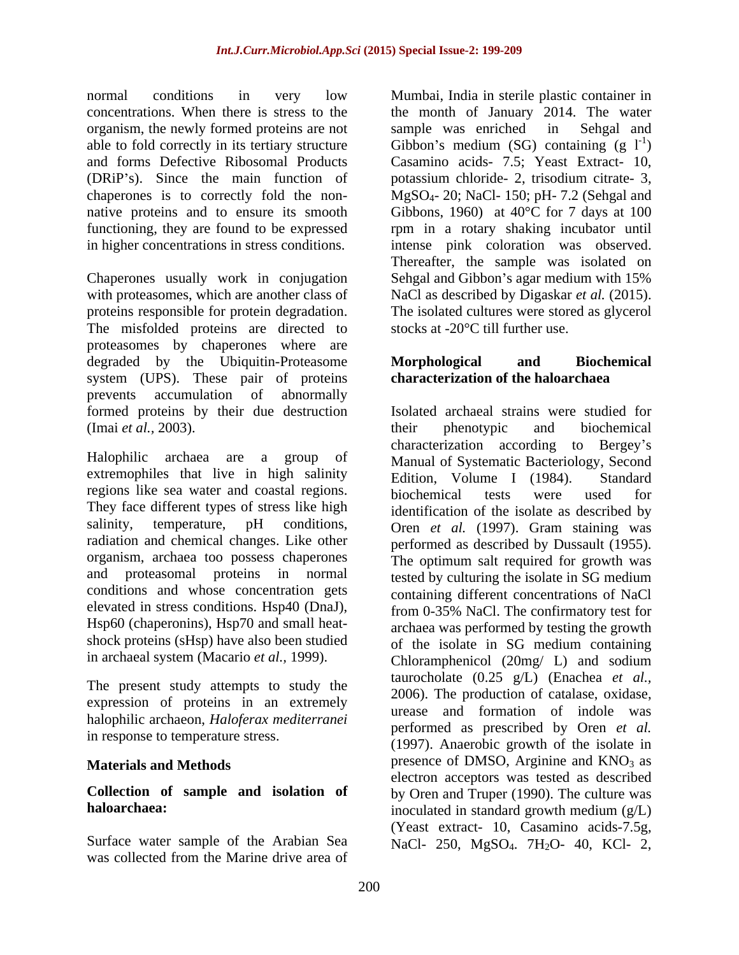organism, the newly formed proteins are not

The misfolded proteins are directed to stocks at  $-20^{\circ}$ C till further use. proteasomes by chaperones where are degraded by the Ubiquitin-Proteasome **Morphological** and Biochemical system (UPS). These pair of proteins prevents accumulation of abnormally formed proteins by their due destruction (Imai *et al.*, 2003). their phenotypic and biochemical

extremophiles that live in high salinity Edition. Volume I (1984). Standard regions like sea water and coastal regions. biochemical tests were used for They face different types of stress like high radiation and chemical changes. Like other organism, archaea too possess chaperones and proteasomal proteins in normal conditions and whose concentration gets Hsp60 (chaperonins), Hsp70 and small heat shock proteins (sHsp) have also been studied of the isolate in SG medium containing

The present study attempts to study the expression of proteins in an extremely halophilic archaeon, *Haloferax mediterranei* in response to temperature stress.

# **haloarchaea:** inoculated in standard growth medium ( $g/L$ )

Surface water sample of the Arabian Sea  $NaCl- 250$ , MgSO<sub>4</sub>. 7H<sub>2</sub>O- 40, KCl- 2, was collected from the Marine drive area of

normal conditions in very low Mumbai, India in sterile plastic container in concentrations. When there is stress to the the month of January 2014. The water able to fold correctly in its tertiary structure Gibbon's medium (SG) containing  $(g I<sup>-1</sup>)$ and forms Defective Ribosomal Products Casamino acids- 7.5; Yeast Extract- 10, (DRiP s). Since the main function of potassium chloride- 2, trisodium citrate- 3, chaperones is to correctly fold the non- $MgSO_4$ - 20; NaCl- 150; pH- 7.2 (Sehgal and native proteins and to ensure its smooth Gibbons, 1960) at 40°C for 7 days at 100 functioning, they are found to be expressed rpm in a rotary shaking incubator until in higher concentrations in stress conditions. intense pink coloration was observed. Chaperones usually work in conjugation Sehgal and Gibbon's agar medium with 15% with proteasomes, which are another class of NaCl as described by Digaskar *et al.* (2015). proteins responsible for protein degradation. The isolated cultures were stored as glycerol sample was enriched in Sehgal and  $)$ Thereafter, the sample was isolated on stocks at -20°C till further use.

### **Morphological and Biochemical characterization of the haloarchaea**

Halophilic archaea are a group of Manual of Systematic Bacteriology, Second salinity, temperature, pH conditions, Oren *et al.* (1997). Gram staining was elevated in stress conditions. Hsp40 (DnaJ), from 0-35% NaCl. The confirmatory test for in archaeal system (Macario *et al.,* 1999). Chloramphenicol (20mg/ L) and sodium **Materials and Methods** presence of DMSO, Arginine and KNO<sub>3</sub> as **Collection of sample and isolation of** by Oren and Truper (1990). The culture was Isolated archaeal strains were studied for their phenotypic and biochemical characterization according to Bergey's Edition, Volume I  $(1984)$ . biochemical tests were used for identification of the isolate as described by performed as described by Dussault (1955). The optimum salt required for growth was tested by culturing the isolate in SG medium containing different concentrations of NaCl archaea was performed by testing the growth of the isolate in SG medium containing taurocholate (0.25 g/L) (Enachea *et al.,* 2006). The production of catalase, oxidase, urease and formation of indole was performed as prescribed by Oren *et al.* (1997). Anaerobic growth of the isolate in electron acceptors was tested as described inoculated in standard growth medium (g/L) (Yeast extract- 10, Casamino acids-7.5g,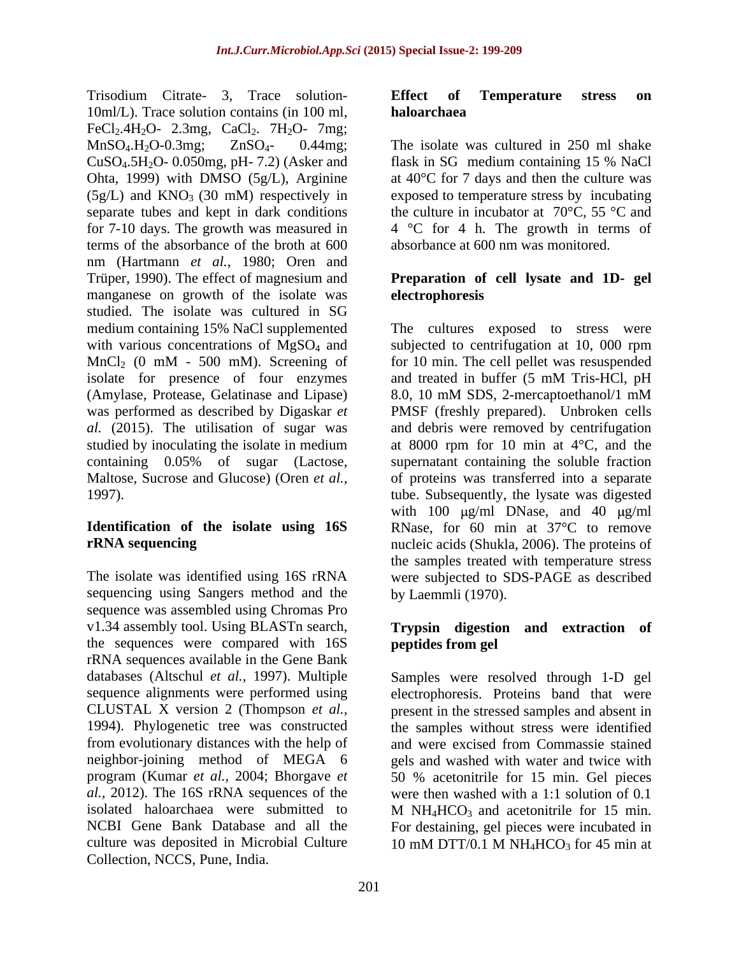Trisodium Citrate- 3, Trace solution-<br>
Effect of Temperature stress on 10ml/L). Trace solution contains (in 100 ml, haloarchaea FeCl<sub>2</sub>.4H<sub>2</sub>O- 2.3mg, CaCl<sub>2</sub>. 7H<sub>2</sub>O- 7mg;  $MnSO_4.H_2O-0.3mg$ ;  $ZnSO_4$ - 0.44mg; The isolate was cultured in 250 ml shake  $CuSO<sub>4</sub>5H<sub>2</sub>O-0.050mg$ , pH- 7.2) (Asker and flask in SG medium containing 15 % NaCl Ohta, 1999) with DMSO (5g/L), Arginine  $(5g/L)$  and KNO<sub>3</sub> (30 mM) respectively in exposed to temperature stress by incubating separate tubes and kept in dark conditions the culture in incubator at  $70^{\circ}$ C,  $55^{\circ}$ C and for 7-10 days. The growth was measured in terms of the absorbance of the broth at 600 absorbance at 600 nm was monitored. nm (Hartmann *et al.,* 1980; Oren and Trüper, 1990). The effect of magnesium and **Preparation of cell lysate and 1D- gel** manganese on growth of the isolate was electrophoresis studied. The isolate was cultured in SG  $MnCl<sub>2</sub>$  (0 mM - 500 mM). Screening of isolate for presence of four enzymes (Amylase, Protease, Gelatinase and Lipase)

sequencing using Sangers method and the by Laemmli (1970). sequence was assembled using Chromas Pro v1.34 assembly tool. Using BLASTn search, **Trypsin digestion and extraction of** the sequences were compared with 16S rRNA sequences available in the Gene Bank databases (Altschul *et al.,* 1997). Multiple from evolutionary distances with the help of program (Kumar *et al.,* 2004; Bhorgave *et*  isolated haloarchaea were submitted to  $M N_{\text{H}} H CO_3$  and acetonitrile for 15 min. culture was deposited in Microbial Culture  $10 \text{ mM DTT}/0.1 \text{ M NH}_4$  HCO<sub>3</sub> for 45 min at Collection, NCCS, Pune, India.

#### **Effect of Temperature stress on haloarchaea**

flask in SG medium containing 15 % NaCl at 40°C for 7 days and then the culture was 4 °C for 4 h. The growth in terms of absorbance at 600 nm was monitored.

# **electrophoresis**

medium containing 15% NaCl supplemented The cultures exposed to stress were with various concentrations of MgSO<sub>4</sub> and subjected to centrifugation at 10, 000 rpm and treated in buffer (5 mM Tris-HCl, pH was performed as described by Digaskar *et*  PMSF (freshly prepared). Unbroken cells *al.* (2015). The utilisation of sugar was and debris were removed by centrifugation studied by inoculating the isolate in medium at 8000 rpm for 10 min at 4°C, and the containing 0.05% of sugar (Lactose, Maltose, Sucrose and Glucose) (Oren *et al.,* of proteins was transferred into a separate 1997). tube. Subsequently, the lysate was digested **Identification of the isolate using 16S** RNase, for 60 min at 37°C to remove **rRNA sequencing** nucleic acids (Shukla, 2006). The proteins of The isolate was identified using 16S rRNA were subjected to SDS-PAGE as described The cultures exposed to stress were for 10 min. The cell pellet was resuspended and treated in buffer (5 mM Tris-HCl, pH 8.0, 10 mM SDS, 2-mercaptoethanol/1 mM supernatant containing the soluble fraction with 100  $\mu$ g/ml DNase, and 40  $\mu$ g/ml the samples treated with temperature stress by Laemmli (1970).

# **peptides from gel**

sequence alignments were performed using electrophoresis. Proteins band that were CLUSTAL X version 2 (Thompson *et al.,* present in the stressed samples and absent in 1994). Phylogenetic tree was constructed the samples without stress were identified neighbor-joining method of MEGA 6 gels and washed with water and twice with *al.,* 2012). The 16S rRNA sequences of the were then washed with a 1:1 solution of 0.1 NCBI Gene Bank Database and all the For destaining, gel pieces were incubated in Samples were resolved through 1-D gel and were excised from Commassie stained 50 % acetonitrile for 15 min. Gel pieces  $M$  NH<sub>4</sub>HCO<sub>3</sub> and acetonitrile for 15 min. 10 mM DTT/0.1 M  $NH_4HCO_3$  for 45 min at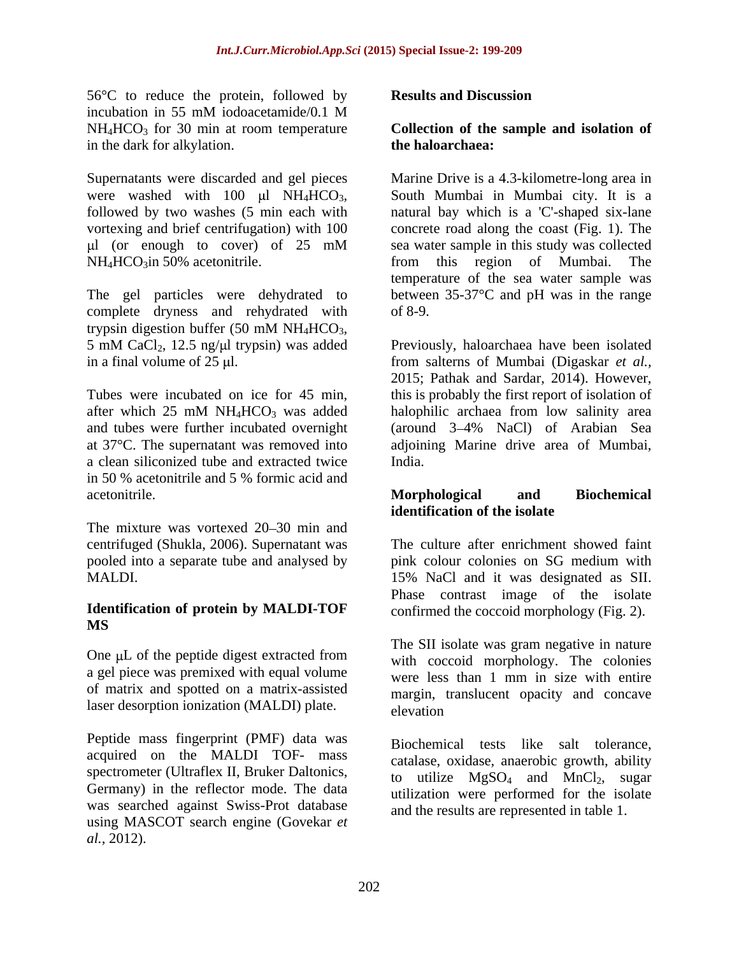56<sup>o</sup>C to reduce the protein, followed by **Results and Discussion** incubation in 55 mM iodoacetamide/0.1 M NH4HCO3 for 30 min at room temperature **Collection of the sample and isolation of** in the dark for alkylation. **the haloarchaea:** 

Supernatants were discarded and gel pieces

The gel particles were dehydrated to complete dryness and rehydrated with of 8-9. trypsin digestion buffer  $(50 \text{ mM } NH_4HCO_3$ ,

and tubes were further incubated overnight (around 3-4% NaCl) of Arabian Sea a clean siliconized tube and extracted twice in 50 % acetonitrile and 5 % formic acid and acetonitrile. **Conserverse Executes Acetonical School** and Biochemical and Biochemical and Biochemical and Biochemical and Biochemical and Biochemical and Biochemical and Biochemical and Biochemical and Biochemical and Bio

The mixture was vortexed 20–30 min and centrifuged (Shukla, 2006). Supernatant was

### **Identification of protein by MALDI-TOF MS**

a gel piece was premixed with equal volume of matrix and spotted on a matrix-assisted laser desorption ionization (MALDI) plate. elevation

Peptide mass fingerprint (PMF) data was acquired on the MALDI TOF- mass spectrometer (Ultraflex II, Bruker Daltonics, Germany) in the reflector mode. The data was searched against Swiss-Prot database using MASCOT search engine (Govekar *et al.,* 2012).

### **Results and Discussion**

# **the haloarchaea:**

were washed with 100  $\mu$ l NH<sub>4</sub>HCO<sub>3</sub>, South Mumbai in Mumbai city. It is a followed by two washes (5 min each with natural bay which is a 'C'-shaped six-lane vortexing and brief centrifugation) with 100 concrete road along the coast (Fig. 1). The l (or enough to cover) of 25 mM NH<sub>4</sub>HCO<sub>3</sub>in 50% acetonitrile. The state of this region of Mumbai. The Marine Drive is a 4.3-kilometre-long area in sea water sample in this study was collected from this region of Mumbai. The temperature of the sea water sample was between 35-37°C and pH was in the range of 8-9.

 $5 \text{ mM } CaCl_2$ , 12.5 ng/ $\mu$ l trypsin) was added Previously, haloarchaea have been isolated in a final volume of 25 µl. **From salterns of Mumbai** (Digaskar *et al.,* Tubes were incubated on ice for 45 min, this is probably the first report of isolation of after which  $25 \text{ mM NH}_4\text{HCO}_3$  was added halophilic archaea from low salinity area at 37°C. The supernatant was removed into adjoining Marine drive area of Mumbai, Previously, haloarchaea have been isolated 2015; Pathak and Sardar, 2014). However, halophilic archaea from low salinity area (around 3 4% NaCl) of Arabian Sea India.

### **Morphological and Biochemical identification of the isolate**

pooled into a separate tube and analysed by pink colour colonies on SG medium with MALDI. 15% NaCl and it was designated as SII. The culture after enrichment showed faint Phase contrast image of the isolate

One µL of the peptide digest extracted from The SII isolate was gram negative in nature<br>with coccoid morphology. The colonies confirmed the coccoid morphology (Fig. 2). The SII isolate was gram negative in nature with coccoid morphology. The colonies were less than 1 mm in size with entire margin, translucent opacity and concave elevation and the set of the set of the set of the set of the set of the set of the set of the set of the set of the set of the set of the set of the set of the set of the set of the set of the set of the set of the set of

> Biochemical tests like salt tolerance, catalase, oxidase, anaerobic growth, ability to utilize  $MgSO_4$  and  $MnCl_2$ , sugar utilization were performed for the isolate and the results are represented in table 1.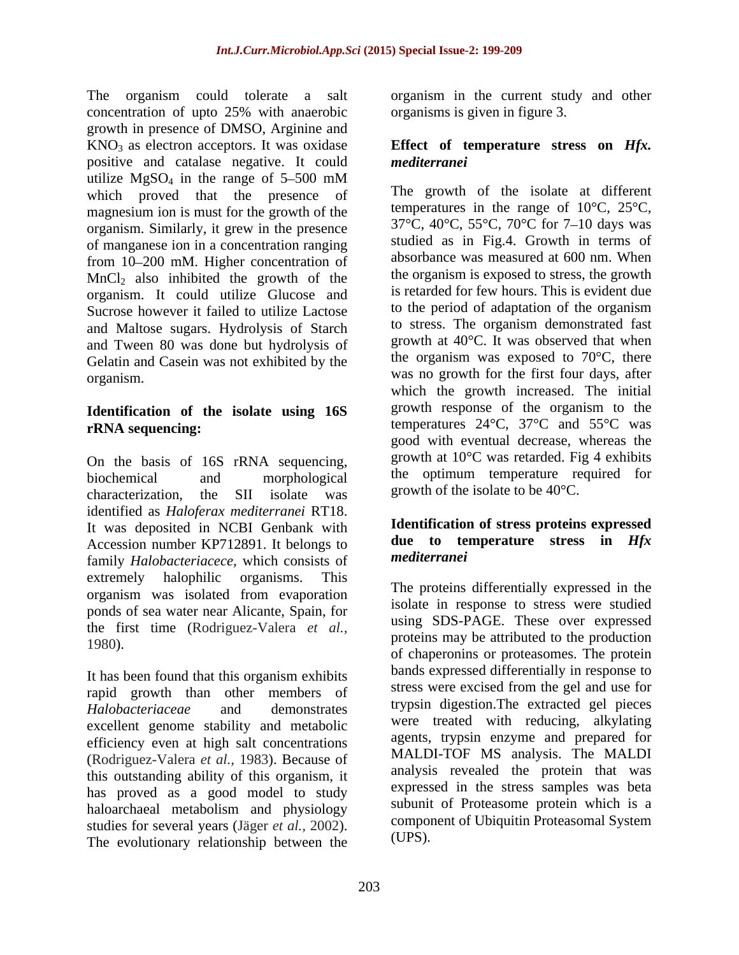The organism could tolerate a salt organism in the current study and other concentration of upto 25% with anaerobic growth in presence of DMSO, Arginine and KNO3 as electron acceptors. It was oxidase **Effect of temperature stress on** *Hfx.* positive and catalase negative. It could utilize  $MgSO_4$  in the range of 5–500 mM which proved that the presence of magnesium ion is must for the growth of the organism. Similarly, it grew in the presence of manganese ion in a concentration ranging from 10–200 mM. Higher concentration of  $MnCl<sub>2</sub>$  also inhibited the growth of the organism. It could utilize Glucose and Sucrose however it failed to utilize Lactose and Maltose sugars. Hydrolysis of Starch and Tween 80 was done but hydrolysis of Gelatin and Casein was not exhibited by the organism.

# **Identification of the isolate using 16S**

On the basis of 16S rRNA sequencing, characterization, the SII isolate was growth of the isolate to be  $40^{\circ}$ C. identified as *Haloferax mediterranei* RT18. It was deposited in NCBI Genbank with Accession number KP712891. It belongs to **due to tell**<br>family Halohastariasses which consists of *mediterranei* family *Halobacteriacece,* which consists of extremely halophilic organisms. This organism was isolated from evaporation ponds of sea water near Alicante, Spain, for the first time (Rodriguez-Valera *et al.,*

It has been found that this organism exhibits rapid growth than other members of excellent genome stability and metabolic efficiency even at high salt concentrations (Rodriguez-Valera *et al.,* 1983). Because of this outstanding ability of this organism, it has proved as a good model to study haloarchaeal metabolism and physiology studies for several years (Jäger *et al.*, 2002). The evolutionary relationship between the

organisms is given in figure 3.

# *mediterranei*

**rRNA** sequencing: temperatures 24°C, 37°C and 55°C was biochemical and morphological the optimum temperature required for The growth of the isolate at different temperatures in the range of 10°C, 25°C, 37°C, 40°C, 55°C, 70°C for 7 10 days was studied as in Fig.4. Growth in terms of absorbance was measured at 600 nm. When the organism is exposed to stress, the growth is retarded for few hours. This is evident due to the period of adaptation of the organism to stress. The organism demonstrated fast growth at 40°C. It was observed that when the organism was exposed to  $70^{\circ}$ C, there was no growth for the first four days, after which the growth increased. The initial growth response of the organism to the temperatures 24°C, 37°C and 55°C was good with eventual decrease, whereas the growth at  $10^{\circ}$ C was retarded. Fig 4 exhibits growth of the isolate to be 40°C.

### **Identification of stress proteins expressed due to temperature stress in** *Hfx mediterranei*

1980). *Halobacteriaceae* and demonstrates The proteins differentially expressed in the isolate in response to stress were studied using SDS-PAGE. These over expressed proteins may be attributed to the production of chaperonins or proteasomes. The protein bands expressed differentially in response to stress were excised from the gel and use for trypsin digestion.The extracted gel pieces were treated with reducing, alkylating agents, trypsin enzyme and prepared for MALDI-TOF MS analysis. The MALDI analysis revealed the protein that was expressed in the stress samples was beta subunit of Proteasome protein which is a component of Ubiquitin Proteasomal System (UPS).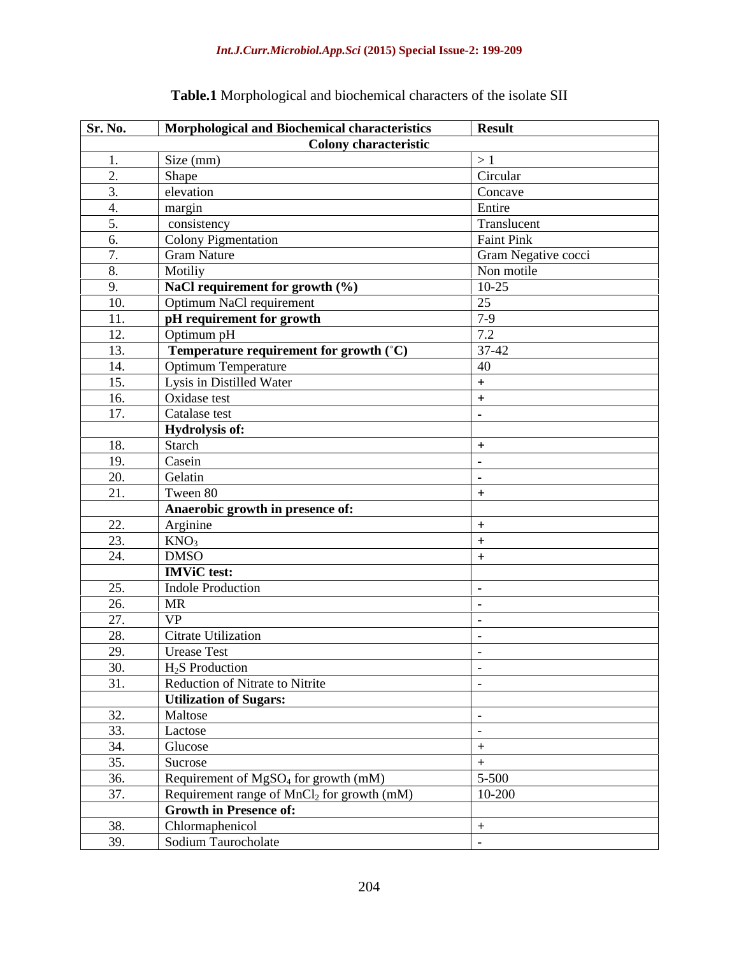| Sr. No.           | Morphological and Biochemical characteristics    | <b>Result</b>       |
|-------------------|--------------------------------------------------|---------------------|
|                   | <b>Colony characteristic</b>                     |                     |
|                   | Size (mm)                                        | >1                  |
|                   | Shape                                            | Circular            |
|                   | elevation                                        | Concave             |
|                   | margin                                           | Entire              |
|                   | consistency                                      | Translucent         |
|                   | Colony Pigmentation                              | Faint Pink          |
|                   | <b>Gram Nature</b>                               | Gram Negative cocci |
|                   | Motiliy                                          | Non motile          |
|                   | NaCl requirement for growth (%)                  | $10-25$             |
| 10.               | Optimum NaCl requirement                         | 25                  |
| 11.               | pH requirement for growth                        | $7-9$               |
| 12.               | Optimum pH                                       | 7.2                 |
| 13.               | Temperature requirement for growth (°C)          | $37-42$             |
| 14.               | Optimum Temperature                              | 40                  |
| 15.               | Lysis in Distilled Water                         |                     |
| 16.               | Oxidase test                                     |                     |
| 17.               | Catalase test                                    |                     |
|                   | <b>Hydrolysis of:</b>                            |                     |
| 18.               | Starch                                           |                     |
| 19.               | Casein                                           |                     |
| 20.               | Gelatin                                          |                     |
| 21.               | Tween 80                                         |                     |
|                   | Anaerobic growth in presence of:                 |                     |
| $\frac{22}{23}$   | $\frac{\text{Arginine}}{\text{KNO}_3}$           |                     |
|                   |                                                  |                     |
| 24.               | <b>DMSO</b>                                      |                     |
|                   | <b>IMViC</b> test:                               |                     |
| 25.               | <b>Indole Production</b>                         |                     |
| 26.               | <b>MR</b>                                        |                     |
| 27.               | <b>VP</b>                                        |                     |
| 28.               | Citrate Utilization                              |                     |
| 29.               | Urease Test                                      |                     |
| 30.               | $H_2S$ Production                                |                     |
| $\overline{31}$ . | Reduction of Nitrate to Nitrite                  |                     |
|                   | <b>Utilization of Sugars:</b>                    |                     |
| $\frac{32}{33}$   | Maltose                                          |                     |
|                   | Lactose                                          |                     |
| $\frac{34.}{35.}$ | Glucose                                          |                     |
|                   | Sucrose                                          |                     |
| $\frac{36.}{37.}$ | Requirement of MgSO <sub>4</sub> for growth (mM) | $5 - 500$           |
|                   | Requirement range of $MnCl2$ for growth (mM)     | 10-200              |
|                   | <b>Growth in Presence of:</b>                    |                     |
| $\frac{38.}{39.}$ | Chlormaphenicol                                  |                     |
|                   | Sodium Taurocholate                              |                     |

## **Table.1** Morphological and biochemical characters of the isolate SII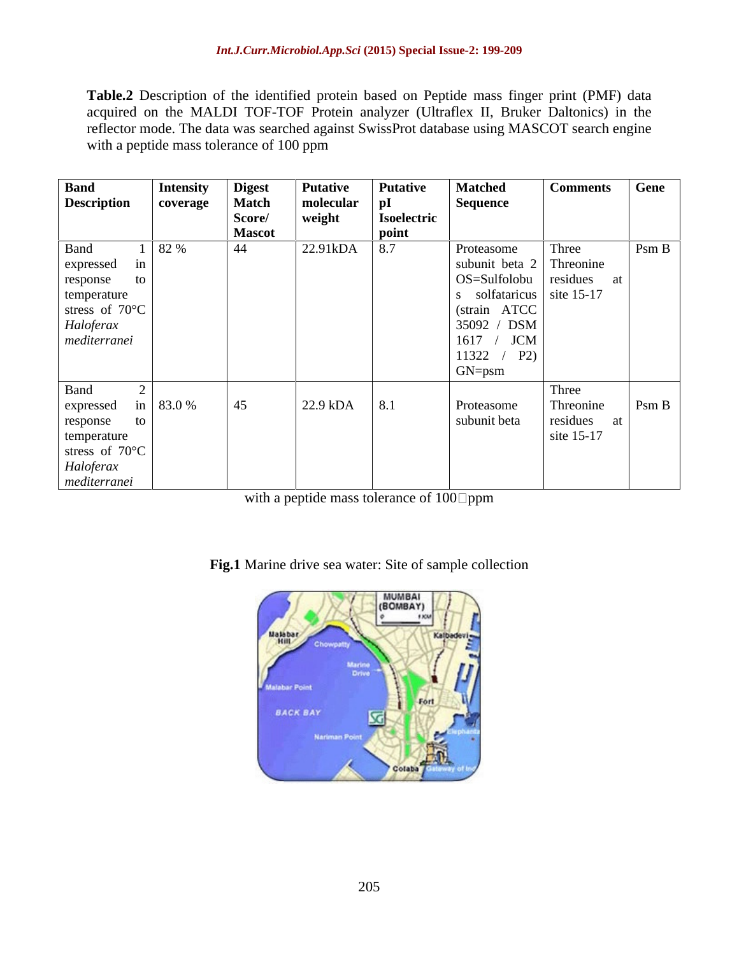Table.2 Description of the identified protein based on Peptide mass finger print (PMF) data acquired on the MALDI TOF-TOF Protein analyzer (Ultraflex II, Bruker Daltonics) in the reflector mode. The data was searched against SwissProt database using MASCOT search engine with a peptide mass tolerance of 100 ppm

| <b>Band</b><br><b>Intensity</b>                              |                  | <b>Putative</b>        | <b>Putative</b> | <b>Matched</b>                                                                           | Comments Gene |          |
|--------------------------------------------------------------|------------------|------------------------|-----------------|------------------------------------------------------------------------------------------|---------------|----------|
| <b>Description</b><br>coverage                               | Digest<br>Match  | molecular              | p1              | <b>Sequence</b>                                                                          |               |          |
|                                                              |                  | weight                 | Isoelectric     |                                                                                          |               |          |
|                                                              | Score/<br>Mascot |                        | point           |                                                                                          |               |          |
| 1 82 %<br>Band                                               | 44               | $22.91 \text{kDA}$ 8.7 |                 |                                                                                          |               | PsmB     |
|                                                              |                  |                        |                 | Proteasome<br>subunit beta 2 Threonine                                                   |               |          |
|                                                              |                  |                        |                 |                                                                                          |               |          |
|                                                              |                  |                        |                 |                                                                                          | ai a          |          |
|                                                              |                  |                        |                 | $\left  \begin{array}{c} OS = \text{Sulfolobu} \\ \text{s} \end{array} \right $ residues |               |          |
| expressed in<br>response to<br>temperature<br>stress of 70°C |                  |                        |                 | (strain ATCC                                                                             |               |          |
| Haloferax<br>mediterranei                                    |                  |                        |                 | 35092 / DSM                                                                              |               |          |
|                                                              |                  |                        |                 | 1617 /<br><b>JCM</b>                                                                     |               |          |
|                                                              |                  |                        |                 | 11322 / P2                                                                               |               |          |
|                                                              |                  |                        |                 |                                                                                          |               |          |
|                                                              |                  |                        |                 | GN=psm                                                                                   |               |          |
| Band                                                         |                  |                        |                 |                                                                                          | Three         |          |
| in 83.0 %                                                    | 45               | $22.9 \text{ kDA}$ 8.1 |                 | Proteasome                                                                               | Threonine     | $\log B$ |
| expressed<br>response<br>to                                  |                  |                        |                 | subunit beta                                                                             | residues      |          |
|                                                              |                  |                        |                 |                                                                                          | at            |          |
| temperature<br>stress of $70^{\circ}$ C                      |                  |                        |                 |                                                                                          | site 15-17    |          |
|                                                              |                  |                        |                 |                                                                                          |               |          |
|                                                              |                  |                        |                 |                                                                                          |               |          |
| Haloferax<br>mediterranei                                    |                  |                        |                 |                                                                                          |               |          |

with a peptide mass tolerance of  $100$  ppm

**Fig.1** Marine drive sea water: Site of sample collection

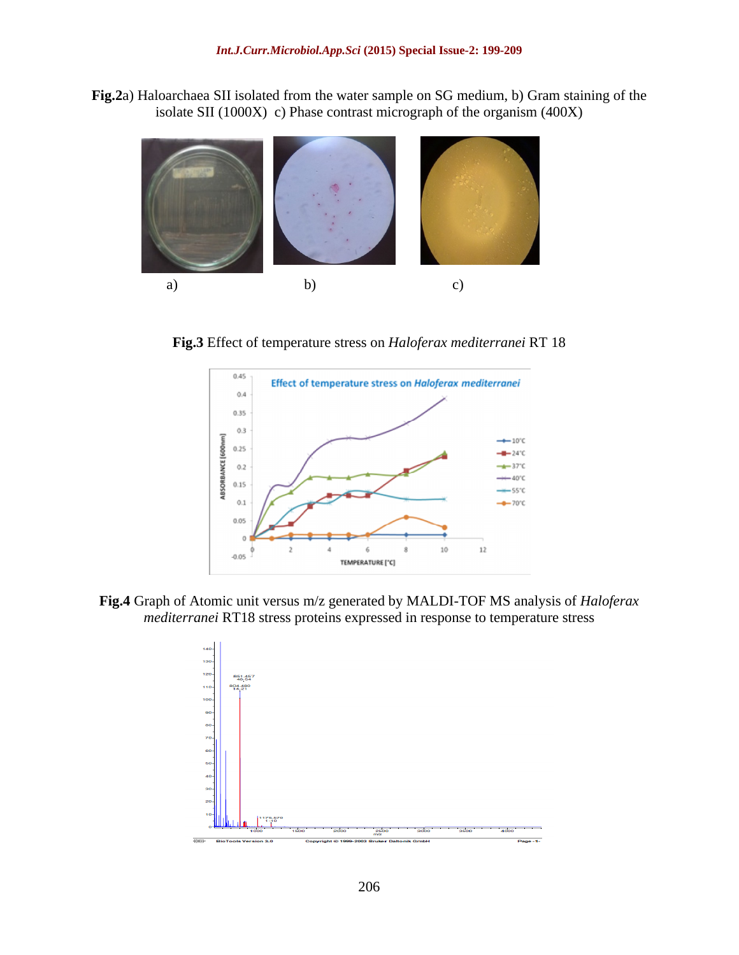**Fig.2**a) Haloarchaea SII isolated from the water sample on SG medium, b) Gram staining of the isolate SII (1000X) c) Phase contrast micrograph of the organism (400X)



**Fig.3** Effect of temperature stress on *Haloferax mediterranei* RT 18



**Fig.4** Graph of Atomic unit versus m/z generated by MALDI-TOF MS analysis of *Haloferax mediterranei* RT18 stress proteins expressed in response to temperature stress

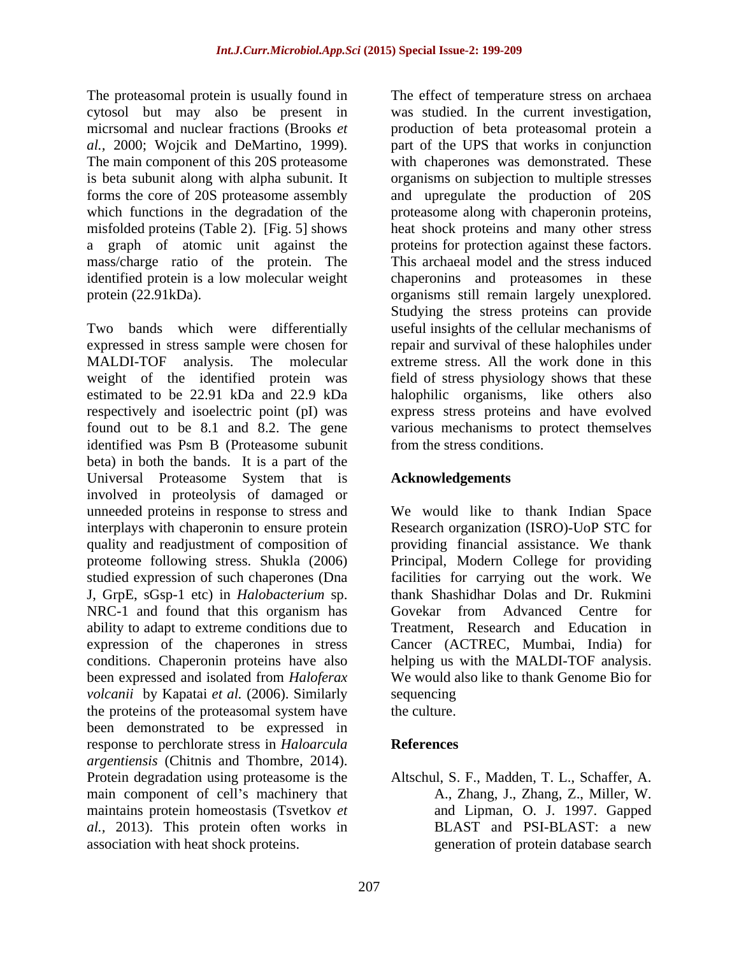The proteasomal protein is usually found in cytosol but may also be present in<br>microsonal and nuclear fractions (Brooks et micrsomal and nuclear fractions (Brooks *et*  production of beta proteasomal protein a *al.,* 2000; Wojcik and DeMartino, 1999). part of the UPS that works in conjunction The main component of this 20S proteasome is beta subunit along with alpha subunit. It forms the core of 20S proteasome assembly and upregulate the production of 20S which functions in the degradation of the proteasome along with chaperonin proteins, misfolded proteins (Table 2). [Fig. 5] shows heat shock proteins and many other stress a graph of atomic unit against the mass/charge ratio of the protein. The identified protein is a low molecular weight chaperonins and proteasomes in these protein (22.91kDa). organisms still remain largely unexplored.

Two bands which were differentially useful insights of the cellular mechanisms of expressed in stress sample were chosen for repair and survival of these halophiles under MALDI-TOF analysis. The molecular extreme stress. All the work done in this weight of the identified protein was field of stress physiology shows that these estimated to be 22.91 kDa and 22.9 kDa halophilic organisms, like others also respectively and isoelectric point (pI) was express stress proteins and have evolved found out to be 8.1 and 8.2. The gene various mechanisms to protect themselves identified was Psm B (Proteasome subunit from the stress conditions. beta) in both the bands. It is a part of the Universal Proteasome System that is **Acknowledgements** involved in proteolysis of damaged or unneeded proteins in response to stress and We would like to thank Indian Space interplays with chaperonin to ensure protein Research organization (ISRO)-UoP STC for quality and readjustment of composition of providing financial assistance. We thank proteome following stress. Shukla (2006) Principal, Modern College for providing studied expression of such chaperones (Dna facilities for carrying out the work. We J, GrpE, sGsp-1 etc) in *Halobacterium* sp. NRC-1 and found that this organism has Govekar from Advanced Centre for ability to adapt to extreme conditions due to expression of the chaperones in stress Cancer (ACTREC, Mumbai, India) for conditions. Chaperonin proteins have also helping us with the MALDI-TOF analysis. been expressed and isolated from *Haloferax* We would also like to thank Genome Bio for *volcanii* by Kapatai *et al.* (2006). Similarly the proteins of the proteasomal system have the culture. been demonstrated to be expressed in response to perchlorate stress in *Haloarcula argentiensis* (Chitnis and Thombre, 2014).<br>Protein degradation using proteasome is the Altschul, S. F., Madden, T. L., Schaffer, A. main component of cell's machinery that maintains protein homeostasis (Tsvetkov *et al.,* 2013). This protein often works in association with heat shock proteins. generation of protein database search

The effect of temperature stress on archaea was studied. In the current investigation, with chaperones was demonstrated. These organisms on subjection to multiple stresses proteins for protection against these factors. This archaeal model and the stress induced Studying the stress proteins can provide from the stress conditions.

### **Acknowledgements**

thank Shashidhar Dolas and Dr. Rukmini Govekar from Advanced Centre for Treatment, Research and Education in sequencing and the sequencial sequencies of  $\mathcal{L}$  and  $\mathcal{L}$  and  $\mathcal{L}$  are sequencies of  $\mathcal{L}$ the culture.

## **References**

Altschul, S. F., Madden, T. L., Schaffer, A. A., Zhang, J., Zhang, Z., Miller, W. and Lipman, O. J. 1997. Gapped BLAST and PSI-BLAST: a new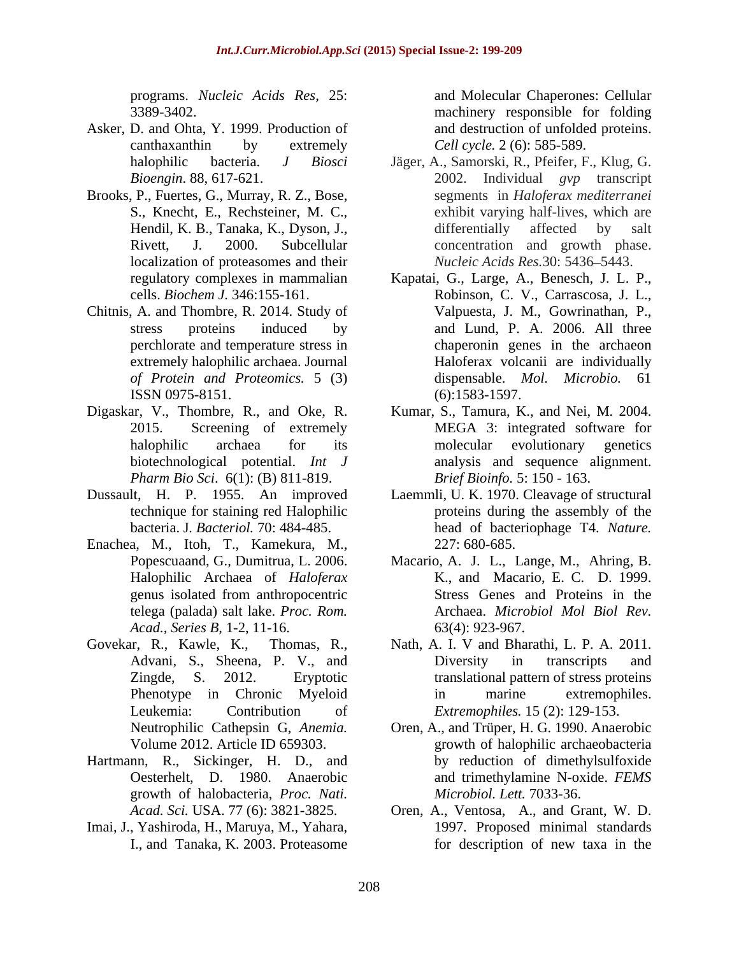programs. *Nucleic Acids Res*, 25:

- Asker, D. and Ohta, Y. 1999. Production of canthaxanthin by extremely Cell cycle. 2 (6): 585-589.
- Brooks, P., Fuertes, G., Murray, R. Z., Bose, localization of proteasomes and their
- Chitnis, A. and Thombre, R. 2014. Study of
- biotechnological potential.*Int J*
- 
- Enachea, M., Itoh, T., Kamekura, M., *Acad., Series B,* 1-2, 11-16.
- 
- Hartmann, R., Sickinger, H. D., and Oesterhelt, D. 1980. Anaerobic growth of halobacteria, *Proc. Nati.*
- Imai, J., Yashiroda, H., Maruya, M., Yahara,

3389-3402. machinery responsible for folding and Molecular Chaperones: Cellular and destruction of unfolded proteins. *Cell cycle.* 2 (6): 585-589.

- halophilic bacteria. *J Biosci* Jäger, A., Samorski, R., Pfeifer, F., Klug, G. *Bioengin*. 88, 617-621. 2002. Individual *gvp* transcript S., Knecht, E., Rechsteiner, M. C., exhibit varying half-lives, which are Hendil, K. B., Tanaka, K., Dyson, J., differentially affected by salt Rivett, J. 2000. Subcellular concentration and growth phase. segments in *Haloferax mediterranei* differentially affected by salt *Nucleic Acids Res.*30: 5436 5443.
- regulatory complexes in mammalian Kapatai, G., Large, A., Benesch, J. L. P., cells. *Biochem J.* 346:155-161. stress proteins induced by and Lund, P. A. 2006. All three perchlorate and temperature stress in chaperonin genes in the archaeon extremely halophilic archaea. Journal Haloferax volcanii are individually *of Protein and Proteomics.* 5 (3) ISSN 0975-8151. (6):1583-1597. Robinson, C. V., Carrascosa, J. L., Valpuesta, J. M., Gowrinathan, P., dispensable. *Mol. Microbio.* (6):1583-1597.
- Digaskar, V., Thombre, R., and Oke, R. Kumar, S., Tamura, K., and Nei, M. 2004. 2015. Screening of extremely MEGA 3: integrated software for halophilic archaea for its molecular evolutionary genetics *Pharm Bio Sci*. 6(1): (B) 811-819. molecular evolutionary genetics analysis and sequence alignment. *Brief Bioinfo.* 5: 150 - 163.
- Dussault, H. P. 1955. An improved Laemmli, U. K. 1970. Cleavage of structural technique for staining red Halophilic proteins during the assembly of the bacteria. J*. Bacteriol.* 70: 484-485. head of bacteriophage T4. *Nature.* 227: 680-685.
	- Popescuaand, G., Dumitrua, L. 2006. Macario, A. J. L., Lange, M., Ahring, B. Halophilic Archaea of *Haloferax* K., and Macario, E. C. D. 1999. genus isolated from anthropocentric Stress Genes and Proteins in the telega (palada) salt lake. *Proc. Rom.* Archaea. *Microbiol Mol Biol Rev.* Stress Genes and Proteins in the 63(4): 923-967.
- Govekar, R., Kawle, K., Thomas, R., Nath, A. I. V and Bharathi, L. P. A. 2011. Advani, S., Sheena, P. V., and Diversity in transcripts and Zingde, S. 2012. Eryptotic translational pattern of stress proteins Phenotype in Chronic Myeloid in marine extremophiles. Leukemia: Contribution of *Extremophiles.* 15 (2): 129-153. Diversity in transcripts and in marine extremophiles.
	- Neutrophilic Cathepsin G, *Anemia.* Oren, A., and Trüper, H. G. 1990. Anaerobic Volume 2012. Article ID 659303. The summary series are provided as a growth of halophilic archaeobacteria growth of halophilic archaeobacteria by reduction of dimethylsulfoxide and trimethylamine N-oxide. *FEMS Microbiol. Lett.* 7033-36.
	- *Acad. Sci.* USA. 77 (6): 3821-3825. Oren, A., Ventosa, A., and Grant, W. D. I., and Tanaka, K. 2003. Proteasome 1997. Proposed minimal standards for description of new taxa in the